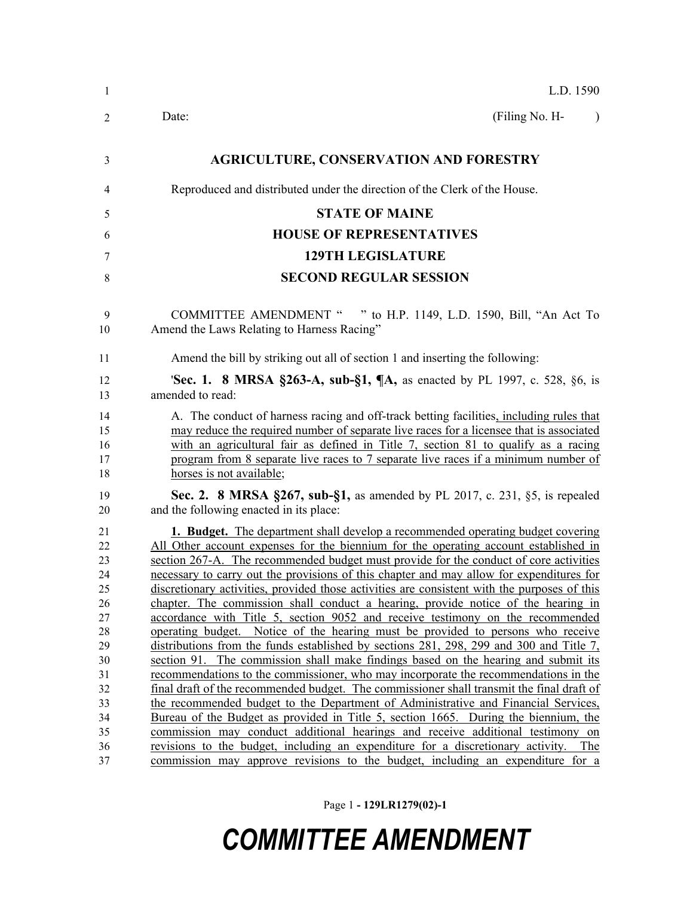| -1                                                                                                 | L.D. 1590                                                                                                                                                                                                                                                                                                                                                                                                                                                                                                                                                                                                                                                                                                                                                                                                                                                                                                                                                                                                                                                                                                                                                                                                                                                                                                                                                                                                                                                                                                                                  |
|----------------------------------------------------------------------------------------------------|--------------------------------------------------------------------------------------------------------------------------------------------------------------------------------------------------------------------------------------------------------------------------------------------------------------------------------------------------------------------------------------------------------------------------------------------------------------------------------------------------------------------------------------------------------------------------------------------------------------------------------------------------------------------------------------------------------------------------------------------------------------------------------------------------------------------------------------------------------------------------------------------------------------------------------------------------------------------------------------------------------------------------------------------------------------------------------------------------------------------------------------------------------------------------------------------------------------------------------------------------------------------------------------------------------------------------------------------------------------------------------------------------------------------------------------------------------------------------------------------------------------------------------------------|
| 2                                                                                                  | (Filing No. H-<br>Date:<br>$\lambda$                                                                                                                                                                                                                                                                                                                                                                                                                                                                                                                                                                                                                                                                                                                                                                                                                                                                                                                                                                                                                                                                                                                                                                                                                                                                                                                                                                                                                                                                                                       |
| 3                                                                                                  | <b>AGRICULTURE, CONSERVATION AND FORESTRY</b>                                                                                                                                                                                                                                                                                                                                                                                                                                                                                                                                                                                                                                                                                                                                                                                                                                                                                                                                                                                                                                                                                                                                                                                                                                                                                                                                                                                                                                                                                              |
| 4                                                                                                  | Reproduced and distributed under the direction of the Clerk of the House.                                                                                                                                                                                                                                                                                                                                                                                                                                                                                                                                                                                                                                                                                                                                                                                                                                                                                                                                                                                                                                                                                                                                                                                                                                                                                                                                                                                                                                                                  |
| 5                                                                                                  | <b>STATE OF MAINE</b>                                                                                                                                                                                                                                                                                                                                                                                                                                                                                                                                                                                                                                                                                                                                                                                                                                                                                                                                                                                                                                                                                                                                                                                                                                                                                                                                                                                                                                                                                                                      |
| 6                                                                                                  | <b>HOUSE OF REPRESENTATIVES</b>                                                                                                                                                                                                                                                                                                                                                                                                                                                                                                                                                                                                                                                                                                                                                                                                                                                                                                                                                                                                                                                                                                                                                                                                                                                                                                                                                                                                                                                                                                            |
| 7                                                                                                  | <b>129TH LEGISLATURE</b>                                                                                                                                                                                                                                                                                                                                                                                                                                                                                                                                                                                                                                                                                                                                                                                                                                                                                                                                                                                                                                                                                                                                                                                                                                                                                                                                                                                                                                                                                                                   |
| 8                                                                                                  | <b>SECOND REGULAR SESSION</b>                                                                                                                                                                                                                                                                                                                                                                                                                                                                                                                                                                                                                                                                                                                                                                                                                                                                                                                                                                                                                                                                                                                                                                                                                                                                                                                                                                                                                                                                                                              |
| 9<br>10                                                                                            | COMMITTEE AMENDMENT " " to H.P. 1149, L.D. 1590, Bill, "An Act To<br>Amend the Laws Relating to Harness Racing"                                                                                                                                                                                                                                                                                                                                                                                                                                                                                                                                                                                                                                                                                                                                                                                                                                                                                                                                                                                                                                                                                                                                                                                                                                                                                                                                                                                                                            |
| 11                                                                                                 | Amend the bill by striking out all of section 1 and inserting the following:                                                                                                                                                                                                                                                                                                                                                                                                                                                                                                                                                                                                                                                                                                                                                                                                                                                                                                                                                                                                                                                                                                                                                                                                                                                                                                                                                                                                                                                               |
| 12<br>13                                                                                           | <b>Sec. 1. 8 MRSA §263-A, sub-§1, <math>\P</math>A, as enacted by PL 1997, c. 528, §6, is</b><br>amended to read:                                                                                                                                                                                                                                                                                                                                                                                                                                                                                                                                                                                                                                                                                                                                                                                                                                                                                                                                                                                                                                                                                                                                                                                                                                                                                                                                                                                                                          |
| 14<br>15<br>16<br>17<br>18                                                                         | A. The conduct of harness racing and off-track betting facilities, including rules that<br>may reduce the required number of separate live races for a licensee that is associated<br>with an agricultural fair as defined in Title 7, section 81 to qualify as a racing<br>program from 8 separate live races to 7 separate live races if a minimum number of<br>horses is not available;                                                                                                                                                                                                                                                                                                                                                                                                                                                                                                                                                                                                                                                                                                                                                                                                                                                                                                                                                                                                                                                                                                                                                 |
| 19<br>20                                                                                           | Sec. 2. 8 MRSA §267, sub-§1, as amended by PL 2017, c. 231, §5, is repealed<br>and the following enacted in its place:                                                                                                                                                                                                                                                                                                                                                                                                                                                                                                                                                                                                                                                                                                                                                                                                                                                                                                                                                                                                                                                                                                                                                                                                                                                                                                                                                                                                                     |
| 21<br>22<br>23<br>24<br>25<br>26<br>27<br>28<br>29<br>30<br>31<br>32<br>33<br>34<br>35<br>36<br>37 | <b>1. Budget.</b> The department shall develop a recommended operating budget covering<br>All Other account expenses for the biennium for the operating account established in<br>section 267-A. The recommended budget must provide for the conduct of core activities<br>necessary to carry out the provisions of this chapter and may allow for expenditures for<br>discretionary activities, provided those activities are consistent with the purposes of this<br>chapter. The commission shall conduct a hearing, provide notice of the hearing in<br>accordance with Title 5, section 9052 and receive testimony on the recommended<br>operating budget. Notice of the hearing must be provided to persons who receive<br>distributions from the funds established by sections 281, 298, 299 and 300 and Title 7,<br>section 91. The commission shall make findings based on the hearing and submit its<br>recommendations to the commissioner, who may incorporate the recommendations in the<br>final draft of the recommended budget. The commissioner shall transmit the final draft of<br>the recommended budget to the Department of Administrative and Financial Services,<br>Bureau of the Budget as provided in Title 5, section 1665. During the biennium, the<br>commission may conduct additional hearings and receive additional testimony on<br>revisions to the budget, including an expenditure for a discretionary activity. The<br>commission may approve revisions to the budget, including an expenditure for a |

Page 1 **- 129LR1279(02)-1**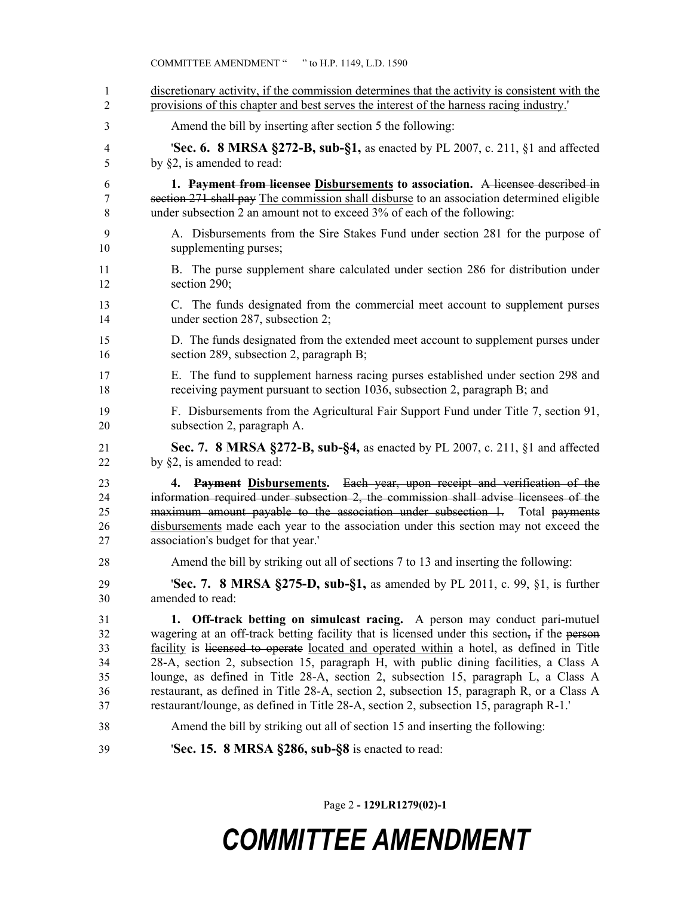| 1                          | discretionary activity, if the commission determines that the activity is consistent with the                                                                                                                                                                                                                                                                                          |
|----------------------------|----------------------------------------------------------------------------------------------------------------------------------------------------------------------------------------------------------------------------------------------------------------------------------------------------------------------------------------------------------------------------------------|
| 2                          | provisions of this chapter and best serves the interest of the harness racing industry.'                                                                                                                                                                                                                                                                                               |
| 3                          | Amend the bill by inserting after section 5 the following:                                                                                                                                                                                                                                                                                                                             |
| 4                          | <b>Sec. 6. 8 MRSA §272-B, sub-§1,</b> as enacted by PL 2007, c. 211, §1 and affected                                                                                                                                                                                                                                                                                                   |
| 5                          | by $\S2$ , is amended to read:                                                                                                                                                                                                                                                                                                                                                         |
| 6                          | 1. Payment from licensee Disbursements to association. A licensee described in                                                                                                                                                                                                                                                                                                         |
| 7                          | section 271 shall pay The commission shall disburse to an association determined eligible                                                                                                                                                                                                                                                                                              |
| 8                          | under subsection 2 an amount not to exceed 3% of each of the following:                                                                                                                                                                                                                                                                                                                |
| 9                          | A. Disbursements from the Sire Stakes Fund under section 281 for the purpose of                                                                                                                                                                                                                                                                                                        |
| 10                         | supplementing purses;                                                                                                                                                                                                                                                                                                                                                                  |
| 11                         | B. The purse supplement share calculated under section 286 for distribution under                                                                                                                                                                                                                                                                                                      |
| 12                         | section 290;                                                                                                                                                                                                                                                                                                                                                                           |
| 13                         | C. The funds designated from the commercial meet account to supplement purses                                                                                                                                                                                                                                                                                                          |
| 14                         | under section 287, subsection 2;                                                                                                                                                                                                                                                                                                                                                       |
| 15                         | D. The funds designated from the extended meet account to supplement purses under                                                                                                                                                                                                                                                                                                      |
| 16                         | section 289, subsection 2, paragraph B;                                                                                                                                                                                                                                                                                                                                                |
| 17                         | E. The fund to supplement harness racing purses established under section 298 and                                                                                                                                                                                                                                                                                                      |
| 18                         | receiving payment pursuant to section 1036, subsection 2, paragraph B; and                                                                                                                                                                                                                                                                                                             |
| 19                         | F. Disbursements from the Agricultural Fair Support Fund under Title 7, section 91,                                                                                                                                                                                                                                                                                                    |
| 20                         | subsection 2, paragraph A.                                                                                                                                                                                                                                                                                                                                                             |
| 21                         | Sec. 7. 8 MRSA §272-B, sub-§4, as enacted by PL 2007, c. 211, §1 and affected                                                                                                                                                                                                                                                                                                          |
| 22                         | by $\S2$ , is amended to read:                                                                                                                                                                                                                                                                                                                                                         |
| 23<br>24<br>25<br>26<br>27 | Payment Disbursements. Each year, upon receipt and verification of the<br>4.<br>information required under subsection 2, the commission shall advise licensees of the<br>maximum amount payable to the association under subsection 1. Total payments<br>disbursements made each year to the association under this section may not exceed the<br>association's budget for that year.' |
| 28                         | Amend the bill by striking out all of sections 7 to 13 and inserting the following:                                                                                                                                                                                                                                                                                                    |
| 29                         | <b>Sec. 7.</b> 8 MRSA §275-D, sub-§1, as amended by PL 2011, c. 99, §1, is further                                                                                                                                                                                                                                                                                                     |
| 30                         | amended to read:                                                                                                                                                                                                                                                                                                                                                                       |
| 31                         | 1. Off-track betting on simulcast racing. A person may conduct pari-mutuel                                                                                                                                                                                                                                                                                                             |
| 32                         | wagering at an off-track betting facility that is licensed under this section, if the person                                                                                                                                                                                                                                                                                           |
| 33                         | facility is licensed to operate located and operated within a hotel, as defined in Title                                                                                                                                                                                                                                                                                               |
| 34                         | 28-A, section 2, subsection 15, paragraph H, with public dining facilities, a Class A                                                                                                                                                                                                                                                                                                  |
| 35                         | lounge, as defined in Title 28-A, section 2, subsection 15, paragraph L, a Class A                                                                                                                                                                                                                                                                                                     |
| 36                         | restaurant, as defined in Title 28-A, section 2, subsection 15, paragraph R, or a Class A                                                                                                                                                                                                                                                                                              |
| 37                         | restaurant/lounge, as defined in Title 28-A, section 2, subsection 15, paragraph R-1.'                                                                                                                                                                                                                                                                                                 |
| 38                         | Amend the bill by striking out all of section 15 and inserting the following:                                                                                                                                                                                                                                                                                                          |
| 39                         | 'Sec. 15. 8 MRSA §286, sub-§8 is enacted to read:                                                                                                                                                                                                                                                                                                                                      |

COMMITTEE AMENDMENT " " to H.P. 1149, L.D. 1590

Page 2 **- 129LR1279(02)-1**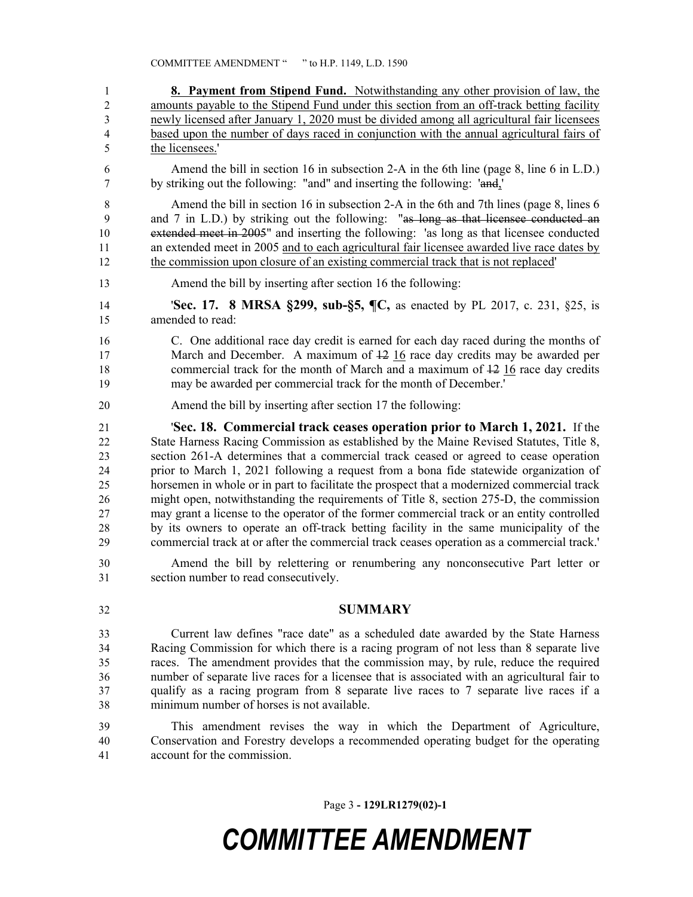**8. Payment from Stipend Fund.** Notwithstanding any other provision of law, the amounts payable to the Stipend Fund under this section from an off-track betting facility newly licensed after January 1, 2020 must be divided among all agricultural fair licensees based upon the number of days raced in conjunction with the annual agricultural fairs of the licensees.' Amend the bill in section 16 in subsection 2-A in the 6th line (page 8, line 6 in L.D.) by striking out the following: "and" and inserting the following: 'and,' Amend the bill in section 16 in subsection 2-A in the 6th and 7th lines (page 8, lines 6 and 7 in L.D.) by striking out the following: "as long as that licensee conducted an extended meet in 2005" and inserting the following: 'as long as that licensee conducted an extended meet in 2005 and to each agricultural fair licensee awarded live race dates by the commission upon closure of an existing commercial track that is not replaced' Amend the bill by inserting after section 16 the following: '**Sec. 17. 8 MRSA §299, sub-§5, ¶C,** as enacted by PL 2017, c. 231, §25, is amended to read: C. One additional race day credit is earned for each day raced during the months of 17 March and December. A maximum of  $\frac{12}{16}$  race day credits may be awarded per commercial track for the month of March and a maximum of 12 16 race day credits may be awarded per commercial track for the month of December.' Amend the bill by inserting after section 17 the following: '**Sec. 18. Commercial track ceases operation prior to March 1, 2021.** If the State Harness Racing Commission as established by the Maine Revised Statutes, Title 8, section 261-A determines that a commercial track ceased or agreed to cease operation prior to March 1, 2021 following a request from a bona fide statewide organization of horsemen in whole or in part to facilitate the prospect that a modernized commercial track might open, notwithstanding the requirements of Title 8, section 275-D, the commission may grant a license to the operator of the former commercial track or an entity controlled by its owners to operate an off-track betting facility in the same municipality of the commercial track at or after the commercial track ceases operation as a commercial track.' Amend the bill by relettering or renumbering any nonconsecutive Part letter or section number to read consecutively. **SUMMARY** Current law defines "race date" as a scheduled date awarded by the State Harness Racing Commission for which there is a racing program of not less than 8 separate live races. The amendment provides that the commission may, by rule, reduce the required number of separate live races for a licensee that is associated with an agricultural fair to qualify as a racing program from 8 separate live races to 7 separate live races if a minimum number of horses is not available. This amendment revises the way in which the Department of Agriculture, Conservation and Forestry develops a recommended operating budget for the operating account for the commission.

Page 3 **- 129LR1279(02)-1**